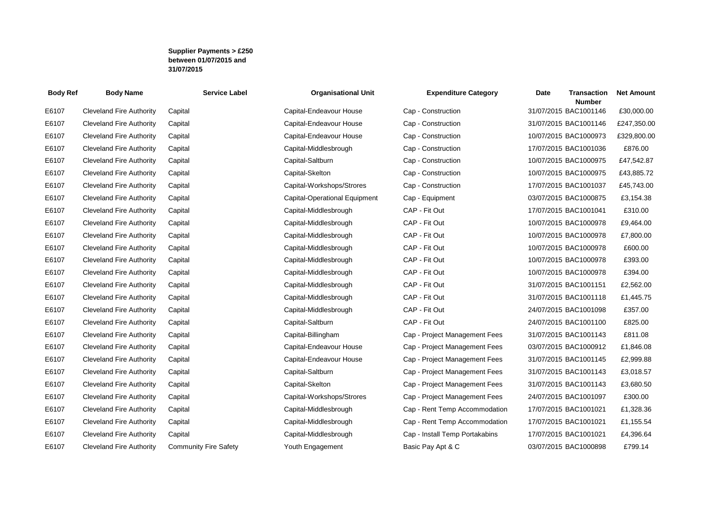## **Supplier Payments > £250 between 01/07/2015 and 31/07/2015**

| <b>Body Ref</b> | <b>Body Name</b>                | <b>Service Label</b>         | <b>Organisational Unit</b>    | <b>Expenditure Category</b>    | <b>Transaction</b><br>Date<br><b>Number</b> | <b>Net Amount</b> |
|-----------------|---------------------------------|------------------------------|-------------------------------|--------------------------------|---------------------------------------------|-------------------|
| E6107           | <b>Cleveland Fire Authority</b> | Capital                      | Capital-Endeavour House       | Cap - Construction             | 31/07/2015 BAC1001146                       | £30,000.00        |
| E6107           | <b>Cleveland Fire Authority</b> | Capital                      | Capital-Endeavour House       | Cap - Construction             | 31/07/2015 BAC1001146                       | £247,350.00       |
| E6107           | <b>Cleveland Fire Authority</b> | Capital                      | Capital-Endeavour House       | Cap - Construction             | 10/07/2015 BAC1000973                       | £329,800.00       |
| E6107           | <b>Cleveland Fire Authority</b> | Capital                      | Capital-Middlesbrough         | Cap - Construction             | 17/07/2015 BAC1001036                       | £876.00           |
| E6107           | <b>Cleveland Fire Authority</b> | Capital                      | Capital-Saltburn              | Cap - Construction             | 10/07/2015 BAC1000975                       | £47,542.87        |
| E6107           | <b>Cleveland Fire Authority</b> | Capital                      | Capital-Skelton               | Cap - Construction             | 10/07/2015 BAC1000975                       | £43,885.72        |
| E6107           | <b>Cleveland Fire Authority</b> | Capital                      | Capital-Workshops/Strores     | Cap - Construction             | 17/07/2015 BAC1001037                       | £45,743.00        |
| E6107           | <b>Cleveland Fire Authority</b> | Capital                      | Capital-Operational Equipment | Cap - Equipment                | 03/07/2015 BAC1000875                       | £3,154.38         |
| E6107           | <b>Cleveland Fire Authority</b> | Capital                      | Capital-Middlesbrough         | CAP - Fit Out                  | 17/07/2015 BAC1001041                       | £310.00           |
| E6107           | <b>Cleveland Fire Authority</b> | Capital                      | Capital-Middlesbrough         | CAP - Fit Out                  | 10/07/2015 BAC1000978                       | £9,464.00         |
| E6107           | <b>Cleveland Fire Authority</b> | Capital                      | Capital-Middlesbrough         | CAP - Fit Out                  | 10/07/2015 BAC1000978                       | £7,800.00         |
| E6107           | <b>Cleveland Fire Authority</b> | Capital                      | Capital-Middlesbrough         | CAP - Fit Out                  | 10/07/2015 BAC1000978                       | £600.00           |
| E6107           | <b>Cleveland Fire Authority</b> | Capital                      | Capital-Middlesbrough         | CAP - Fit Out                  | 10/07/2015 BAC1000978                       | £393.00           |
| E6107           | <b>Cleveland Fire Authority</b> | Capital                      | Capital-Middlesbrough         | CAP - Fit Out                  | 10/07/2015 BAC1000978                       | £394.00           |
| E6107           | <b>Cleveland Fire Authority</b> | Capital                      | Capital-Middlesbrough         | CAP - Fit Out                  | 31/07/2015 BAC1001151                       | £2,562.00         |
| E6107           | <b>Cleveland Fire Authority</b> | Capital                      | Capital-Middlesbrough         | CAP - Fit Out                  | 31/07/2015 BAC1001118                       | £1,445.75         |
| E6107           | <b>Cleveland Fire Authority</b> | Capital                      | Capital-Middlesbrough         | CAP - Fit Out                  | 24/07/2015 BAC1001098                       | £357.00           |
| E6107           | <b>Cleveland Fire Authority</b> | Capital                      | Capital-Saltburn              | CAP - Fit Out                  | 24/07/2015 BAC1001100                       | £825.00           |
| E6107           | Cleveland Fire Authority        | Capital                      | Capital-Billingham            | Cap - Project Management Fees  | 31/07/2015 BAC1001143                       | £811.08           |
| E6107           | <b>Cleveland Fire Authority</b> | Capital                      | Capital-Endeavour House       | Cap - Project Management Fees  | 03/07/2015 BAC1000912                       | £1,846.08         |
| E6107           | <b>Cleveland Fire Authority</b> | Capital                      | Capital-Endeavour House       | Cap - Project Management Fees  | 31/07/2015 BAC1001145                       | £2,999.88         |
| E6107           | <b>Cleveland Fire Authority</b> | Capital                      | Capital-Saltburn              | Cap - Project Management Fees  | 31/07/2015 BAC1001143                       | £3,018.57         |
| E6107           | <b>Cleveland Fire Authority</b> | Capital                      | Capital-Skelton               | Cap - Project Management Fees  | 31/07/2015 BAC1001143                       | £3,680.50         |
| E6107           | <b>Cleveland Fire Authority</b> | Capital                      | Capital-Workshops/Strores     | Cap - Project Management Fees  | 24/07/2015 BAC1001097                       | £300.00           |
| E6107           | <b>Cleveland Fire Authority</b> | Capital                      | Capital-Middlesbrough         | Cap - Rent Temp Accommodation  | 17/07/2015 BAC1001021                       | £1,328.36         |
| E6107           | <b>Cleveland Fire Authority</b> | Capital                      | Capital-Middlesbrough         | Cap - Rent Temp Accommodation  | 17/07/2015 BAC1001021                       | £1,155.54         |
| E6107           | <b>Cleveland Fire Authority</b> | Capital                      | Capital-Middlesbrough         | Cap - Install Temp Portakabins | 17/07/2015 BAC1001021                       | £4,396.64         |
| E6107           | <b>Cleveland Fire Authority</b> | <b>Community Fire Safety</b> | Youth Engagement              | Basic Pay Apt & C              | 03/07/2015 BAC1000898                       | £799.14           |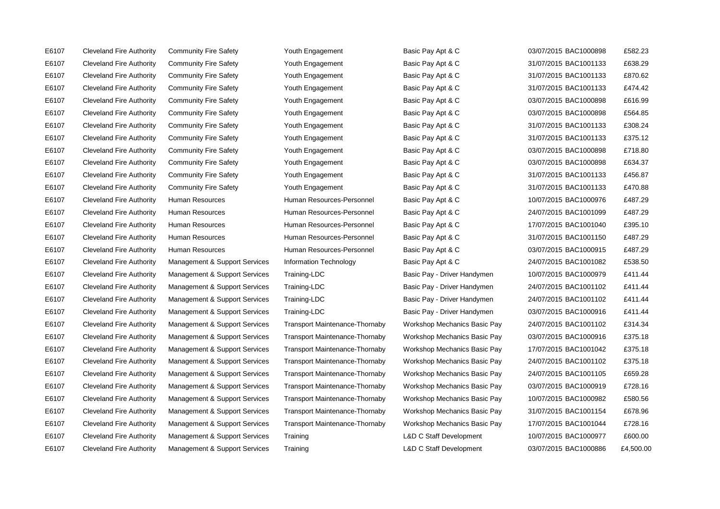E6107 Cleveland Fire Authority Community Fire Safety Youth Engagement Basic Pay Apt & C 03/07/2015 BAC1000898 £582.23

E6107 Cleveland Fire Authority Community Fire Safety Youth Engagement Basic Pay Apt & C 31/07/2015 BAC1001133 £638.29 E6107 Cleveland Fire Authority Community Fire Safety Youth Engagement Basic Pay Apt & C 31/07/2015 BAC1001133 £870.62 E6107 Cleveland Fire Authority Community Fire Safety Youth Engagement Basic Pay Apt & C 31/07/2015 BAC1001133 £474.42 E6107 Cleveland Fire Authority Community Fire Safety Youth Engagement Basic Pay Apt & C 03/07/2015 BAC1000898 £616.99 E6107 Cleveland Fire Authority Community Fire Safety Youth Engagement Basic Pay Apt & C 03/07/2015 BAC1000898 £564.85 E6107 Cleveland Fire Authority Community Fire Safety Youth Engagement Basic Pay Apt & C 31/07/2015 BAC1001133 £308.24 E6107 Cleveland Fire Authority Community Fire Safety Youth Engagement Basic Pay Apt & C 31/07/2015 BAC1001133 £375.12 E6107 Cleveland Fire Authority Community Fire Safety Youth Engagement Basic Pay Apt & C 03/07/2015 BAC1000898 £718.80 E6107 Cleveland Fire Authority Community Fire Safety Youth Engagement Basic Pay Apt & C 03/07/2015 BAC1000898 £634.37 E6107 Cleveland Fire Authority Community Fire Safety Youth Engagement Basic Pay Apt & C 31/07/2015 BAC1001133 £456.87 E6107 Cleveland Fire Authority Community Fire Safety Youth Engagement Basic Pay Apt & C 31/07/2015 BAC1001133 £470.88 E6107 Cleveland Fire Authority Human Resources Numan Resources-Personnel Basic Pay Apt & C 10/07/2015 BAC1000976 £487.29 E6107 Cleveland Fire Authority Human Resources Human Resources-Personnel Basic Pay Apt & C 24/07/2015 BAC1001099 £487.29 E6107 Cleveland Fire Authority Human Resources Human Resources-Personnel Basic Pay Apt & C 17/07/2015 BAC1001040 £395.10 E6107 Cleveland Fire Authority Human Resources Human Resources-Personnel Basic Pay Apt & C 31/07/2015 BAC1001150 £487.29 E6107 Cleveland Fire Authority Human Resources Human Resources-Personnel Basic Pay Apt & C 03/07/2015 BAC1000915 £487.29 E6107 Cleveland Fire Authority Management & Support Services Information Technology Basic Pay Apt & C 24/07/2015 BAC1001082 £538.50 E6107 Cleveland Fire Authority Management & Support Services Training-LDC Basic Pay - Driver Handymen 10/07/2015 BAC1000979 £411.44 E6107 Cleveland Fire Authority Management & Support Services Training-LDC Basic Pay - Driver Handymen 24/07/2015 BAC1001102 £411.44 E6107 Cleveland Fire Authority Management & Support Services Training-LDC Basic Pay - Driver Handymen 24/07/2015 BAC1001102 £411.44 E6107 Cleveland Fire Authority Management & Support Services Training-LDC Basic Pay - Driver Handymen 03/07/2015 BAC1000916 £411.44 E6107 Cleveland Fire Authority Management & Support Services Transport Maintenance-Thornaby Workshop Mechanics Basic Pay 24/07/2015 BAC1001102 £314.34 E6107 Cleveland Fire Authority Management & Support Services Transport Maintenance-Thornaby Workshop Mechanics Basic Pay 03/07/2015 BAC1000916 £375.18 E6107 Cleveland Fire Authority Management & Support Services Transport Maintenance-Thornaby Workshop Mechanics Basic Pay 17/07/2015 BAC1001042 £375.18 E6107 Cleveland Fire Authority Management & Support Services Transport Maintenance-Thornaby Workshop Mechanics Basic Pay 24/07/2015 BAC1001102 £375.18 E6107 Cleveland Fire Authority Management & Support Services Transport Maintenance-Thornaby Workshop Mechanics Basic Pay 24/07/2015 BAC1001105 £659.28 E6107 Cleveland Fire Authority Management & Support Services Transport Maintenance-Thornaby Workshop Mechanics Basic Pay 03/07/2015 BAC1000919 £728.16 E6107 Cleveland Fire Authority Management & Support Services Transport Maintenance-Thornaby Workshop Mechanics Basic Pay 10/07/2015 BAC1000982 £580.56 E6107 Cleveland Fire Authority Management & Support Services Transport Maintenance-Thornaby Workshop Mechanics Basic Pay 31/07/2015 BAC1001154 £678.96 E6107 Cleveland Fire Authority Management & Support Services Transport Maintenance-Thornaby Workshop Mechanics Basic Pay 17/07/2015 BAC1001044 £728.16 E6107 Cleveland Fire Authority Management & Support Services Training L&D C Staff Development 10/07/2015 BAC1000977 £600.00 E6107 Cleveland Fire Authority Management & Support Services Training L&D C Staff Development 03/07/2015 BAC1000886 £4,500.00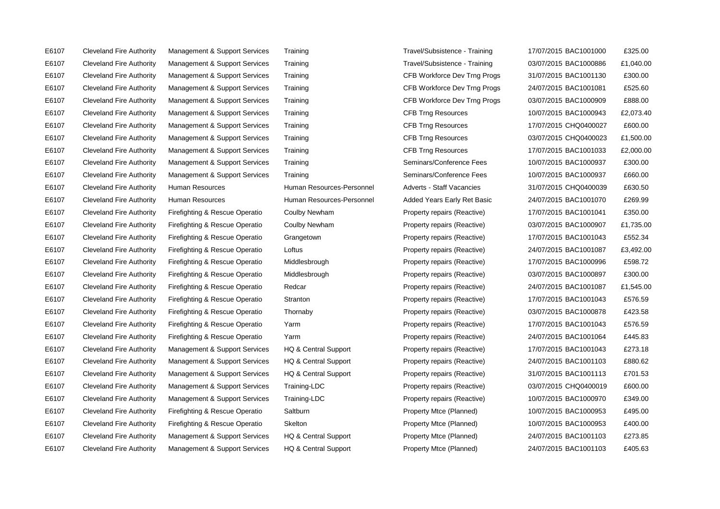E6107 Cleveland Fire Authority Management & Support Services HQ & Central Support Property Mtce (Planned) 24/07/2015 BAC1001103 £405.63

E6107 Cleveland Fire Authority Management & Support Services Training Travel/Subsistence - Training 17/07/2015 BAC1001000 £325.00 E6107 Cleveland Fire Authority Management & Support Services Training Travel/Subsistence - Training 03/07/2015 BAC1000886 £1,040.00 E6107 Cleveland Fire Authority Management & Support Services Training CFB Workforce Dev Trng Progs 31/07/2015 BAC1001130 £300.00 E6107 Cleveland Fire Authority Management & Support Services Training CFB Workforce Dev Trng Progs 24/07/2015 BAC1001081 £525.60 E6107 Cleveland Fire Authority Management & Support Services Training CFB Workforce Dev Trng Progs 03/07/2015 BAC1000909 £888.00 E6107 Cleveland Fire Authority Management & Support Services Training CFB Trng Resources 10/07/2015 BAC1000943 £2,073.40 E6107 Cleveland Fire Authority Management & Support Services Training CFB Trng Resources 17/07/2015 CHQ0400027 £600.00 E6107 Cleveland Fire Authority Management & Support Services Training CFB Trng Resources 03/07/2015 CHQ0400023 £1,500.00 E6107 Cleveland Fire Authority Management & Support Services Training CFB Trng Resources 17/07/2015 BAC1001033 £2,000.00 E6107 Cleveland Fire Authority Management & Support Services Training Seminars/Conference Fees 10/07/2015 BAC1000937 £300.00 E6107 Cleveland Fire Authority Management & Support Services Training Seminars/Conference Fees 10/07/2015 BAC1000937 £660.00 E6107 Cleveland Fire Authority Human Resources Human Resources-Personnel Adverts - Staff Vacancies 31/07/2015 CHQ0400039 £630.50 E6107 Cleveland Fire Authority Human Resources Human Resources-Personnel Added Years Early Ret Basic 24/07/2015 BAC1001070 £269.99 E6107 Cleveland Fire Authority Firefighting & Rescue Operatio Coulby Newham Property repairs (Reactive) 17/07/2015 BAC1001041 £350.00 E6107 Cleveland Fire Authority Firefighting & Rescue Operatio Coulby Newham Property repairs (Reactive) 03/07/2015 BAC1000907 £1,735.00 E6107 Cleveland Fire Authority Firefighting & Rescue Operatio Grangetown Property repairs (Reactive) 17/07/2015 BAC1001043 £552.34 E6107 Cleveland Fire Authority Firefighting & Rescue Operatio Loftus Property repairs (Reactive) 24/07/2015 BAC1001087 £3,492.00 E6107 Cleveland Fire Authority Firefighting & Rescue Operatio Middlesbrough Property repairs (Reactive) 17/07/2015 BAC1000996 £598.72 E6107 Cleveland Fire Authority Firefighting & Rescue Operatio Middlesbrough Property repairs (Reactive) 03/07/2015 BAC1000897 £300.00 E6107 Cleveland Fire Authority Firefighting & Rescue Operatio Redcar Property repairs (Reactive) 24/07/2015 BAC1001087 £1,545.00 E6107 Cleveland Fire Authority Firefighting & Rescue Operatio Stranton Property repairs (Reactive) 17/07/2015 BAC1001043 £576.59 E6107 Cleveland Fire Authority Firefighting & Rescue Operatio Thornaby Property repairs (Reactive) 03/07/2015 BAC1000878 £423.58 E6107 Cleveland Fire Authority Firefighting & Rescue Operatio Yarm Property repairs (Reactive) 17/07/2015 BAC1001043 £576.59 E6107 Cleveland Fire Authority Firefighting & Rescue Operatio Yarm Property repairs (Reactive) 24/07/2015 BAC1001064 £445.83 E6107 Cleveland Fire Authority Management & Support Services HQ & Central Support Property repairs (Reactive) 17/07/2015 BAC1001043 £273.18 E6107 Cleveland Fire Authority Management & Support Services HQ & Central Support Property repairs (Reactive) 24/07/2015 BAC1001103 £880.62 E6107 Cleveland Fire Authority Management & Support Services HQ & Central Support Property repairs (Reactive) 31/07/2015 BAC1001113 £701.53 E6107 Cleveland Fire Authority Management & Support Services Training-LDC Property repairs (Reactive) 03/07/2015 CHQ0400019 £600.00 E6107 Cleveland Fire Authority Management & Support Services Training-LDC Property repairs (Reactive) 10/07/2015 BAC1000970 £349.00 E6107 Cleveland Fire Authority Firefighting & Rescue Operatio Saltburn Property Mtce (Planned) 20/07/2015 BAC1000953 £495.00 E6107 Cleveland Fire Authority Firefighting & Rescue Operatio Skelton Property Mtce (Planned) 10/07/2015 BAC1000953 £400.00 E6107 Cleveland Fire Authority Management & Support Services HQ & Central Support Property Mtce (Planned) 24/07/2015 BAC1001103 £273.85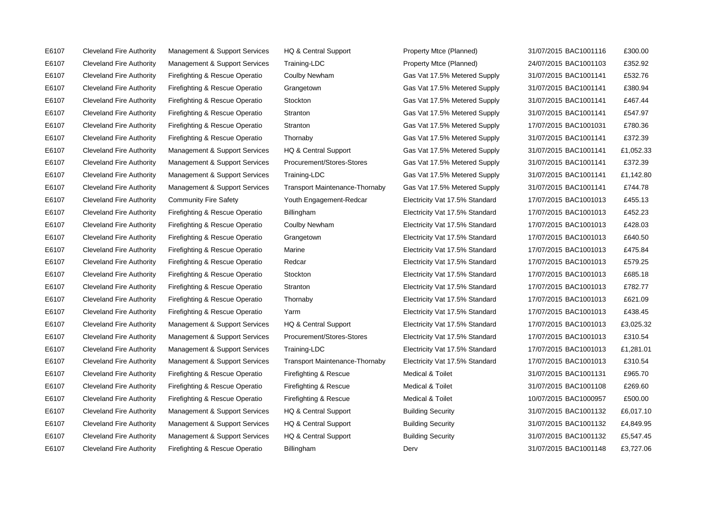E6107 Cleveland Fire Authority Firefighting & Rescue Operatio Billingham Derv Derv 31/07/2015 BAC1001148 £3,727.06

E6107 Cleveland Fire Authority Management & Support Services HQ & Central Support Property Mtce (Planned) 31/07/2015 BAC1001116 £300.00 E6107 Cleveland Fire Authority Management & Support Services Training-LDC Property Mtce (Planned) 24/07/2015 BAC1001103 £352.92 E6107 Cleveland Fire Authority Firefighting & Rescue Operatio Coulby Newham Gas Vat 17.5% Metered Supply 31/07/2015 BAC1001141 £532.76 E6107 Cleveland Fire Authority Firefighting & Rescue Operatio Grangetown Gas Vat 17.5% Metered Supply 31/07/2015 BAC1001141 £380.94 E6107 Cleveland Fire Authority Firefighting & Rescue Operatio Stockton Gas Vat 17.5% Metered Supply 31/07/2015 BAC1001141 £467.44 E6107 Cleveland Fire Authority Firefighting & Rescue Operatio Stranton Gas Vat 17.5% Metered Supply 31/07/2015 BAC1001141 £547.97 E6107 Cleveland Fire Authority Firefighting & Rescue Operatio Stranton Gas Vat 17.5% Metered Supply 17/07/2015 BAC1001031 £780.36 E6107 Cleveland Fire Authority Firefighting & Rescue Operatio Thornaby Gas Vat 17.5% Metered Supply 31/07/2015 BAC1001141 £372.39 E6107 Cleveland Fire Authority Management & Support Services HQ & Central Support Gas Vat 17.5% Metered Supply 31/07/2015 BAC1001141 £1,052.33 E6107 Cleveland Fire Authority Management & Support Services Procurement/Stores-Stores Gas Vat 17.5% Metered Supply 31/07/2015 BAC1001141 £372.39 E6107 Cleveland Fire Authority Management & Support Services Training-LDC Gas Vat 17.5% Metered Supply 31/07/2015 BAC1001141 £1,142.80 E6107 Cleveland Fire Authority Management & Support Services Transport Maintenance-Thornaby Gas Vat 17.5% Metered Supply 31/07/2015 BAC1001141 £744.78 E6107 Cleveland Fire Authority Community Fire Safety Youth Engagement-Redcar Electricity Vat 17.5% Standard 17/07/2015 BAC1001013 £455.13 E6107 Cleveland Fire Authority Firefighting & Rescue Operatio Billingham **Electricity Vat 17.5% Standard** 17/07/2015 BAC1001013 £452.23 E6107 Cleveland Fire Authority Firefighting & Rescue Operatio Coulby Newham Electricity Vat 17.5% Standard 17/07/2015 BAC1001013 £428.03 E6107 Cleveland Fire Authority Firefighting & Rescue Operatio Grangetown Electricity Vat 17.5% Standard 17/07/2015 BAC1001013 £640.50 E6107 Cleveland Fire Authority Firefighting & Rescue Operatio Marine Electricity Vat 17.5% Standard 17/07/2015 BAC1001013 £475.84 E6107 Cleveland Fire Authority Firefighting & Rescue Operatio Redcar Electricity Vat 17.5% Standard 17/07/2015 BAC1001013 £579.25 E6107 Cleveland Fire Authority Firefighting & Rescue Operatio Stockton Electricity Vat 17.5% Standard 17/07/2015 BAC1001013 £685.18 E6107 Cleveland Fire Authority Firefighting & Rescue Operatio Stranton Electricity Vat 17.5% Standard 17/07/2015 BAC1001013 £782.77 E6107 Cleveland Fire Authority Firefighting & Rescue Operatio Thornaby Electricity Vat 17.5% Standard 17/07/2015 BAC1001013 £621.09 E6107 Cleveland Fire Authority Firefighting & Rescue Operatio Yarm Electricity Vat 17.5% Standard 17/07/2015 BAC1001013 £438.45 E6107 Cleveland Fire Authority Management & Support Services HQ & Central Support Electricity Vat 17.5% Standard 17/07/2015 BAC1001013 £3,025.32 E6107 Cleveland Fire Authority Management & Support Services Procurement/Stores-Stores Electricity Vat 17.5% Standard 17/07/2015 BAC1001013 £310.54 E6107 Cleveland Fire Authority Management & Support Services Training-LDC Electricity Vat 17.5% Standard 17/07/2015 BAC1001013 £1,281.01 E6107 Cleveland Fire Authority Management & Support Services Transport Maintenance-Thornaby Electricity Vat 17.5% Standard 17/07/2015 BAC1001013 £310.54 E6107 Cleveland Fire Authority Firefighting & Rescue Operatio Firefighting & Rescue Medical & Toilet 31/07/2015 BAC1001131 £965.70 E6107 Cleveland Fire Authority Firefighting & Rescue Operatio Firefighting & Rescue Medical & Toilet 31/07/2015 BAC1001108 £269.60 E6107 Cleveland Fire Authority Firefighting & Rescue Operatio Firefighting & Rescue Medical & Toilet 10/07/2015 BAC1000957 £500.00 E6107 Cleveland Fire Authority Management & Support Services HQ & Central Support Building Security 31/07/2015 BAC1001132 £6,017.10 E6107 Cleveland Fire Authority Management & Support Services HQ & Central Support Building Security 31/07/2015 BAC1001132 £4,849.95 E6107 Cleveland Fire Authority Management & Support Services HQ & Central Support Building Security 31/07/2015 BAC1001132 £5,547.45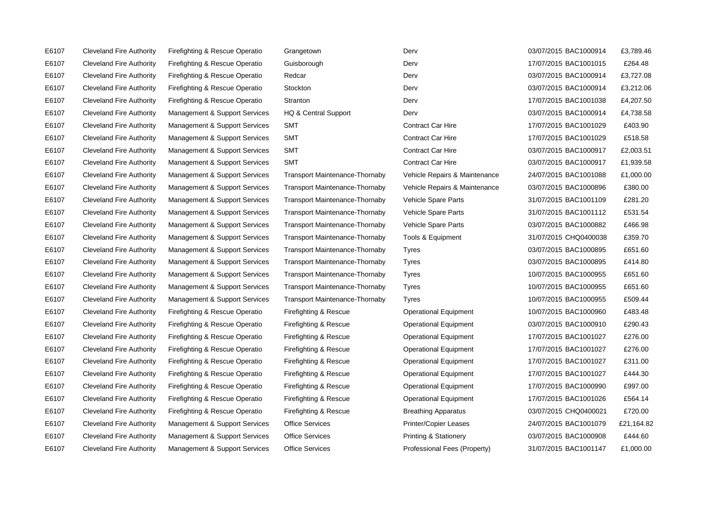E6107 Cleveland Fire Authority Firefighting & Rescue Operatio Grangetown Derv Derv Derv 03/07/2015 BAC1000914 E6107 Cleveland Fire Authority Firefighting & Rescue Operatio Guisborough E6107 Cleveland Fire Authority Firefighting & Rescue Operatio Redcar E6107 Cleveland Fire Authority Firefighting & Rescue Operatio Stockton E6107 Cleveland Fire Authority Firefighting & Rescue Operatio Stranton E6107 Cleveland Fire Authority Management & Support Services HQ & Central Support E6107 Cleveland Fire Authority Management & Support Services SMT E6107 Cleveland Fire Authority Management & Support Services SMT E6107 Cleveland Fire Authority Management & Support Services SMT E6107 Cleveland Fire Authority Management & Support Services SMT E6107 Cleveland Fire Authority Management & Support Services Transport Maintenance-Thornaby E6107 Cleveland Fire Authority Management & Support Services Transport Maintenance-Thornaby E6107 Cleveland Fire Authority Management & Support Services Transport Maintenance-Thornaby E6107 Cleveland Fire Authority Management & Support Services Transport Maintenance-Thornaby E6107 Cleveland Fire Authority Management & Support Services Transport Maintenance-Thornaby E6107 Cleveland Fire Authority Management & Support Services Transport Maintenance-Thornaby E6107 Cleveland Fire Authority Management & Support Services Transport Maintenance-Thornaby E6107 Cleveland Fire Authority Management & Support Services Transport Maintenance-Thornaby E6107 Cleveland Fire Authority Management & Support Services Transport Maintenance-Thornaby E6107 Cleveland Fire Authority Management & Support Services Transport Maintenance-Thornaby E6107 Cleveland Fire Authority Management & Support Services Transport Maintenance-Thornaby E6107 Cleveland Fire Authority Firefighting & Rescue Operatio Firefighting & Rescue E6107 Cleveland Fire Authority Firefighting & Rescue Operatio Firefighting & Rescue E6107 Cleveland Fire Authority Firefighting & Rescue Operatio Firefighting & Rescue E6107 Cleveland Fire Authority Firefighting & Rescue Operatio Firefighting & Rescue E6107 Cleveland Fire Authority Firefighting & Rescue Operatio Firefighting & Rescue E6107 Cleveland Fire Authority Firefighting & Rescue Operatio Firefighting & Rescue E6107 Cleveland Fire Authority Firefighting & Rescue Operatio Firefighting & Rescue E6107 Cleveland Fire Authority Firefighting & Rescue Operatio Firefighting & Rescue E6107 Cleveland Fire Authority Firefighting & Rescue Operatio Firefighting & Rescue E6107 Cleveland Fire Authority Management & Support Services Office Services E6107 Cleveland Fire Authority Management & Support Services Office Services

E6107 Cleveland Fire Authority Management & Support Services Office Services Professional Fees (Property)

| Derv                          |
|-------------------------------|
| Derv                          |
| Derv                          |
| Derv                          |
| Derv                          |
| <b>Contract Car Hire</b>      |
| <b>Contract Car Hire</b>      |
| Contract Car Hire             |
| <b>Contract Car Hire</b>      |
| Vehicle Repairs & Maintenance |
| Vehicle Repairs & Maintenance |
| Vehicle Spare Parts           |
| Vehicle Spare Parts           |
| Vehicle Spare Parts           |
| Tools & Equipment             |
| Tyres                         |
| <b>Tyres</b>                  |
| <b>Tyres</b>                  |
| <b>Tyres</b>                  |
| <b>Tyres</b>                  |
| <b>Operational Equipment</b>  |
| <b>Operational Equipment</b>  |
| <b>Operational Equipment</b>  |
| <b>Operational Equipment</b>  |
| <b>Operational Equipment</b>  |
| <b>Operational Equipment</b>  |
| <b>Operational Equipment</b>  |
| <b>Operational Equipment</b>  |
| <b>Breathing Apparatus</b>    |
| <b>Printer/Copier Leases</b>  |
| Printing & Stationery         |
| Professional Fees (Property)  |

| 03/07/2015 BAC1000914 | £3,789.46  |
|-----------------------|------------|
| 17/07/2015 BAC1001015 | £264.48    |
| 03/07/2015 BAC1000914 | £3,727.08  |
| 03/07/2015 BAC1000914 | £3,212.06  |
| 17/07/2015 BAC1001038 | £4,207.50  |
| 03/07/2015 BAC1000914 | £4,738.58  |
| 17/07/2015 BAC1001029 | £403.90    |
| 17/07/2015 BAC1001029 | £518.58    |
| 03/07/2015 BAC1000917 | £2,003.51  |
| 03/07/2015 BAC1000917 | £1,939.58  |
| 24/07/2015 BAC1001088 | £1,000.00  |
| 03/07/2015 BAC1000896 | £380.00    |
| 31/07/2015 BAC1001109 | £281.20    |
| 31/07/2015 BAC1001112 | £531.54    |
| 03/07/2015 BAC1000882 | £466.98    |
| 31/07/2015 CHQ0400038 | £359.70    |
| 03/07/2015 BAC1000895 | £651.60    |
| 03/07/2015 BAC1000895 | £414.80    |
| 10/07/2015 BAC1000955 | £651.60    |
| 10/07/2015 BAC1000955 | £651.60    |
| 10/07/2015 BAC1000955 | £509.44    |
| 10/07/2015 BAC1000960 | £483.48    |
| 03/07/2015 BAC1000910 | £290.43    |
| 17/07/2015 BAC1001027 | £276.00    |
| 17/07/2015 BAC1001027 | £276.00    |
| 17/07/2015 BAC1001027 | £311.00    |
| 17/07/2015 BAC1001027 | £444.30    |
| 17/07/2015 BAC1000990 | £997.00    |
| 17/07/2015 BAC1001026 | £564.14    |
| 03/07/2015 CHQ0400021 | £720.00    |
| 24/07/2015 BAC1001079 | £21,164.82 |
| 03/07/2015 BAC1000908 | £444.60    |
| 31/07/2015 BAC1001147 | £1.000.00  |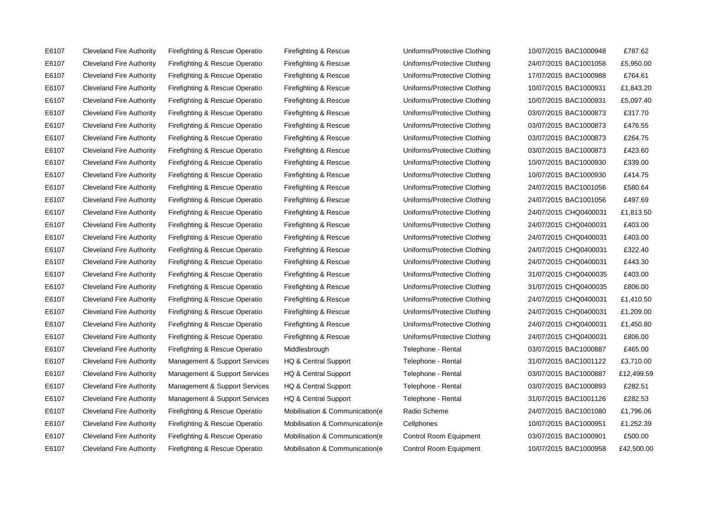E6107 Cleveland Fire Authority Firefighting & Rescue Operatio Mobilisation & Communication(e Control Room Equipment 10/07/2015 BAC1000958 £42,500.00

E6107 Cleveland Fire Authority Firefighting & Rescue Operatio Firefighting & Rescue Uniforms/Protective Clothing 10/07/2015 BAC1000948 £787.62 E6107 Cleveland Fire Authority Firefighting & Rescue Operatio Firefighting & Rescue Uniforms/Protective Clothing 24/07/2015 BAC1001058 £5,950.00 E6107 Cleveland Fire Authority Firefighting & Rescue Operatio Firefighting & Rescue Uniforms/Protective Clothing 17/07/2015 BAC1000988 £764.61 E6107 Cleveland Fire Authority Firefighting & Rescue Operatio Firefighting & Rescue Uniforms/Protective Clothing 10/07/2015 BAC1000931 £1,843.20 E6107 Cleveland Fire Authority Firefighting & Rescue Operatio Firefighting & Rescue Uniforms/Protective Clothing 10/07/2015 BAC1000931 £5,097.40 E6107 Cleveland Fire Authority Firefighting & Rescue Operatio Firefighting & Rescue Uniforms/Protective Clothing 03/07/2015 BAC1000873 £317.70 E6107 Cleveland Fire Authority Firefighting & Rescue Operatio Firefighting & Rescue Uniforms/Protective Clothing 03/07/2015 BAC1000873 £476.55 E6107 Cleveland Fire Authority Firefighting & Rescue Operatio Firefighting & Rescue Uniforms/Protective Clothing 03/07/2015 BAC1000873 £264.75 E6107 Cleveland Fire Authority Firefighting & Rescue Operatio Firefighting & Rescue Uniforms/Protective Clothing 03/07/2015 BAC1000873 £423.60 E6107 Cleveland Fire Authority Firefighting & Rescue Operatio Firefighting & Rescue Uniforms/Protective Clothing 10/07/2015 BAC1000930 £339.00 E6107 Cleveland Fire Authority Firefighting & Rescue Operatio Firefighting & Rescue Uniforms/Protective Clothing 10/07/2015 BAC1000930 £414.75 E6107 Cleveland Fire Authority Firefighting & Rescue Operatio Firefighting & Rescue Uniforms/Protective Clothing 24/07/2015 BAC1001056 £580.64 E6107 Cleveland Fire Authority Firefighting & Rescue Operatio Firefighting & Rescue Uniforms/Protective Clothing 24/07/2015 BAC1001056 £497.69 E6107 Cleveland Fire Authority Firefighting & Rescue Operatio Firefighting & Rescue Uniforms/Protective Clothing 24/07/2015 CHQ0400031 £1,813.50 E6107 Cleveland Fire Authority Firefighting & Rescue Operatio Firefighting & Rescue Uniforms/Protective Clothing 24/07/2015 CHQ0400031 £403.00 E6107 Cleveland Fire Authority Firefighting & Rescue Operatio Firefighting & Rescue Uniforms/Protective Clothing 24/07/2015 CHQ0400031 £403.00 E6107 Cleveland Fire Authority Firefighting & Rescue Operatio Firefighting & Rescue Uniforms/Protective Clothing 24/07/2015 CHQ0400031 £322.40 E6107 Cleveland Fire Authority Firefighting & Rescue Operatio Firefighting & Rescue Uniforms/Protective Clothing 24/07/2015 CHQ0400031 £443.30 E6107 Cleveland Fire Authority Firefighting & Rescue Operatio Firefighting & Rescue Uniforms/Protective Clothing 31/07/2015 CHQ0400035 £403.00 E6107 Cleveland Fire Authority Firefighting & Rescue Operatio Firefighting & Rescue Uniforms/Protective Clothing 31/07/2015 CHQ0400035 £806.00 E6107 Cleveland Fire Authority Firefighting & Rescue Operatio Firefighting & Rescue Uniforms/Protective Clothing 24/07/2015 CHQ0400031 £1,410.50 E6107 Cleveland Fire Authority Firefighting & Rescue Operatio Firefighting & Rescue Uniforms/Protective Clothing 24/07/2015 CHQ0400031 £1,209.00 E6107 Cleveland Fire Authority Firefighting & Rescue Operatio Firefighting & Rescue Uniforms/Protective Clothing 24/07/2015 CHQ0400031 £1,450.80 E6107 Cleveland Fire Authority Firefighting & Rescue Operatio Firefighting & Rescue Uniforms/Protective Clothing 24/07/2015 CHQ0400031 £806.00 E6107 Cleveland Fire Authority Firefighting & Rescue Operatio Middlesbrough Telephone - Rental 03/07/2015 BAC1000887 £465.00 E6107 Cleveland Fire Authority Management & Support Services HQ & Central Support Telephone - Rental 31/07/2015 BAC1001122 £3,710.00 E6107 Cleveland Fire Authority Management & Support Services HQ & Central Support Telephone - Rental 03/07/2015 BAC1000887 £12,499.59 E6107 Cleveland Fire Authority Management & Support Services HQ & Central Support Telephone - Rental 03/07/2015 BAC1000893 £282.51 E6107 Cleveland Fire Authority Management & Support Services HQ & Central Support Telephone - Rental 31/07/2015 BAC1001126 £282.53 E6107 Cleveland Fire Authority Firefighting & Rescue Operatio Mobilisation & Communication(e Radio Scheme 24/07/2015 BAC1001080 £1,796.06 E6107 Cleveland Fire Authority Firefighting & Rescue Operatio Mobilisation & Communication(e Cellphones 10/07/2015 BAC1000951 £1,252.39 E6107 Cleveland Fire Authority Firefighting & Rescue Operatio Mobilisation & Communication(e Control Room Equipment 03/07/2015 BAC1000901 £500.00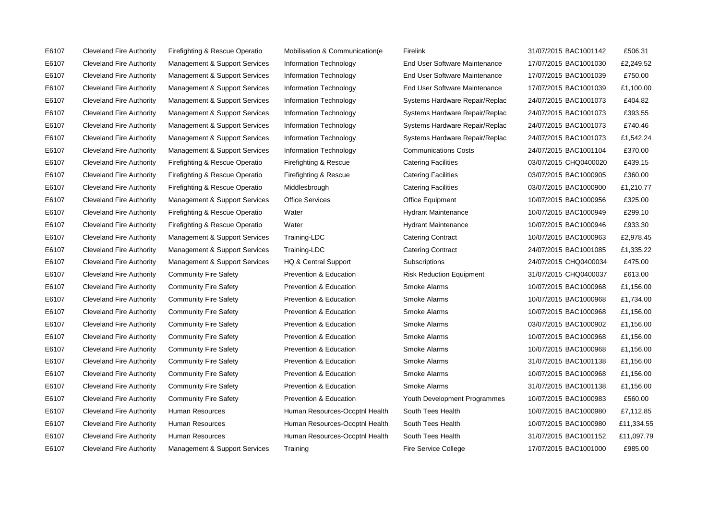E6107 Cleveland Fire Authority Management & Support Services Training Fire Service College 17/07/2015 BAC1001000 £985.00

E6107 Cleveland Fire Authority Firefighting & Rescue Operatio Mobilisation & Communication(e Firelink 31/07/2015 BAC1001142 £506.31 E6107 Cleveland Fire Authority Management & Support Services Information Technology End User Software Maintenance 17/07/2015 BAC1001030 £2,249.52 E6107 Cleveland Fire Authority Management & Support Services Information Technology End User Software Maintenance 17/07/2015 BAC1001039 £750.00 E6107 Cleveland Fire Authority Management & Support Services Information Technology End User Software Maintenance 17/07/2015 BAC1001039 £1,100.00 E6107 Cleveland Fire Authority Management & Support Services Information Technology Systems Hardware Repair/Replac 24/07/2015 BAC1001073 £404.82 E6107 Cleveland Fire Authority Management & Support Services Information Technology Systems Hardware Repair/Replac 24/07/2015 BAC1001073 £393.55 E6107 Cleveland Fire Authority Management & Support Services Information Technology Systems Hardware Repair/Replac 24/07/2015 BAC1001073 £740.46 E6107 Cleveland Fire Authority Management & Support Services Information Technology Systems Hardware Repair/Replac 24/07/2015 BAC1001073 £1,542.24 E6107 Cleveland Fire Authority Management & Support Services Information Technology Communications Costs 24/07/2015 BAC1001104 £370.00 E6107 Cleveland Fire Authority Firefighting & Rescue Operatio Firefighting & Rescue Catering Facilities 03/07/2015 CHQ0400020 £439.15 E6107 Cleveland Fire Authority Firefighting & Rescue Operatio Firefighting & Rescue Catering Facilities 03/07/2015 BAC1000905 £360.00 E6107 Cleveland Fire Authority Firefighting & Rescue Operatio Middlesbrough Catering Facilities 03/07/2015 BAC1000900 £1,210.77 E6107 Cleveland Fire Authority Management & Support Services Office Services Office Equipment 10/07/2015 BAC1000956 £325.00 E6107 Cleveland Fire Authority Firefighting & Rescue Operatio Water Hydrant Maintenance 10/07/2015 BAC1000949 £299.10 E6107 Cleveland Fire Authority Firefighting & Rescue Operatio Water National Hydrant Maintenance 10/07/2015 BAC1000946 £933.30 E6107 Cleveland Fire Authority Management & Support Services Training-LDC Catering Contract 10/07/2015 BAC1000963 £2,978.45 E6107 Cleveland Fire Authority Management & Support Services Training-LDC Catering Contract 24/07/2015 BAC1001085 £1,335.22 E6107 Cleveland Fire Authority Management & Support Services HQ & Central Support Subscriptions 24/07/2015 CHQ0400034 £475.00 E6107 Cleveland Fire Authority Community Fire Safety Prevention & Education Risk Reduction Equipment 31/07/2015 CHQ0400037 £613.00 E6107 Cleveland Fire Authority Community Fire Safety Prevention & Education Smoke Alarms 10/07/2015 BAC1000968 £1,156.00 E6107 Cleveland Fire Authority Community Fire Safety Prevention & Education Smoke Alarms 10/07/2015 BAC1000968 £1,734.00 E6107 Cleveland Fire Authority Community Fire Safety Prevention & Education Smoke Alarms 10/07/2015 BAC1000968 £1,156.00 E6107 Cleveland Fire Authority Community Fire Safety Prevention & Education Smoke Alarms 61/07/2015 BAC1000902 £1,156.00 E6107 Cleveland Fire Authority Community Fire Safety Prevention & Education Smoke Alarms 10/07/2015 BAC1000968 £1,156.00 E6107 Cleveland Fire Authority Community Fire Safety Prevention & Education Smoke Alarms 10/07/2015 BAC1000968 £1,156.00 E6107 Cleveland Fire Authority Community Fire Safety Prevention & Education Smoke Alarms 31/07/2015 BAC1001138 £1,156.00 E6107 Cleveland Fire Authority Community Fire Safety Prevention & Education Smoke Alarms 10/07/2015 BAC1000968 £1,156.00 E6107 Cleveland Fire Authority Community Fire Safety Prevention & Education Smoke Alarms 31/07/2015 BAC1001138 £1,156.00 E6107 Cleveland Fire Authority Community Fire Safety Prevention & Education Youth Development Programmes 10/07/2015 BAC1000983 £560.00 E6107 Cleveland Fire Authority Human Resources Human Resources-Occptnl Health South Tees Health 10/07/2015 BAC1000980 £7,112.85 E6107 Cleveland Fire Authority Human Resources Human Resources-Occptnl Health South Tees Health 10/07/2015 BAC1000980 £11,334.55 E6107 Cleveland Fire Authority Human Resources Human Resources-Occptnl Health South Tees Health 31/07/2015 BAC1001152 £11.097.79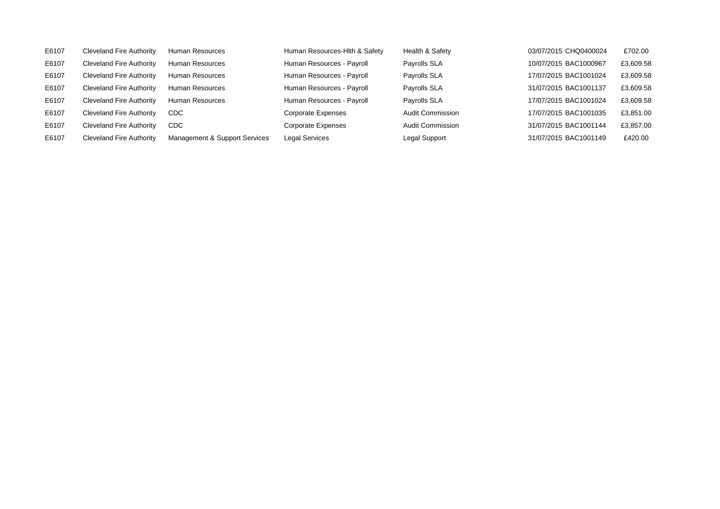| Human Resources - Payroll<br>10/07/2015 BAC1000967<br><b>Cleveland Fire Authority</b><br>Payrolls SLA<br>E6107<br>Human Resources<br>Human Resources - Payroll<br>Cleveland Fire Authority<br>Payrolls SLA<br>17/07/2015 BAC1001024<br>E6107<br>Human Resources<br>Human Resources - Payroll<br>Payrolls SLA<br>31/07/2015 BAC1001137<br>E6107<br><b>Cleveland Fire Authority</b><br>Human Resources<br>Human Resources - Payroll<br>Payrolls SLA<br>17/07/2015 BAC1001024<br>E6107<br><b>Cleveland Fire Authority</b><br>Human Resources<br>Cleveland Fire Authority<br>E6107<br>Audit Commission<br>17/07/2015 BAC1001035<br>Corporate Expenses<br><b>CDC</b><br><b>Audit Commission</b><br><b>Cleveland Fire Authority</b><br>31/07/2015 BAC1001144<br>E6107<br>CDC<br>Corporate Expenses<br>E6107<br>Management & Support Services<br>31/07/2015 BAC1001149<br><b>Cleveland Fire Authority</b><br><b>Legal Services</b><br>Legal Support | E6107 | <b>Cleveland Fire Authority</b> | Human Resources | Human Resources-Hith & Safety | Health & Safety | 03/07/2015 CHQ0400024 | £702.00   |
|----------------------------------------------------------------------------------------------------------------------------------------------------------------------------------------------------------------------------------------------------------------------------------------------------------------------------------------------------------------------------------------------------------------------------------------------------------------------------------------------------------------------------------------------------------------------------------------------------------------------------------------------------------------------------------------------------------------------------------------------------------------------------------------------------------------------------------------------------------------------------------------------------------------------------------------------|-------|---------------------------------|-----------------|-------------------------------|-----------------|-----------------------|-----------|
|                                                                                                                                                                                                                                                                                                                                                                                                                                                                                                                                                                                                                                                                                                                                                                                                                                                                                                                                              |       |                                 |                 |                               |                 |                       | £3,609.58 |
|                                                                                                                                                                                                                                                                                                                                                                                                                                                                                                                                                                                                                                                                                                                                                                                                                                                                                                                                              |       |                                 |                 |                               |                 |                       | £3,609.58 |
|                                                                                                                                                                                                                                                                                                                                                                                                                                                                                                                                                                                                                                                                                                                                                                                                                                                                                                                                              |       |                                 |                 |                               |                 |                       | £3,609.58 |
|                                                                                                                                                                                                                                                                                                                                                                                                                                                                                                                                                                                                                                                                                                                                                                                                                                                                                                                                              |       |                                 |                 |                               |                 |                       | £3,609.58 |
|                                                                                                                                                                                                                                                                                                                                                                                                                                                                                                                                                                                                                                                                                                                                                                                                                                                                                                                                              |       |                                 |                 |                               |                 |                       | £3,851.00 |
|                                                                                                                                                                                                                                                                                                                                                                                                                                                                                                                                                                                                                                                                                                                                                                                                                                                                                                                                              |       |                                 |                 |                               |                 |                       | £3,857.00 |
|                                                                                                                                                                                                                                                                                                                                                                                                                                                                                                                                                                                                                                                                                                                                                                                                                                                                                                                                              |       |                                 |                 |                               |                 |                       | £420.00   |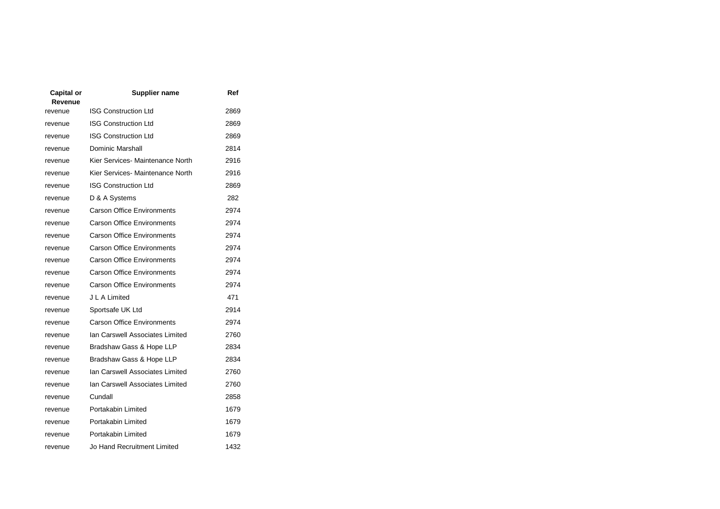| Capital or<br>Revenue | Supplier name                     | Ref  |
|-----------------------|-----------------------------------|------|
| revenue               | <b>ISG Construction Ltd</b>       | 2869 |
| revenue               | <b>ISG Construction Ltd</b>       | 2869 |
| revenue               | <b>ISG Construction Ltd</b>       | 2869 |
| revenue               | Dominic Marshall                  | 2814 |
| revenue               | Kier Services- Maintenance North  | 2916 |
| revenue               | Kier Services- Maintenance North  | 2916 |
| revenue               | <b>ISG Construction Ltd</b>       | 2869 |
| revenue               | D & A Systems                     | 282  |
| revenue               | <b>Carson Office Environments</b> | 2974 |
| revenue               | <b>Carson Office Environments</b> | 2974 |
| revenue               | <b>Carson Office Environments</b> | 2974 |
| revenue               | <b>Carson Office Environments</b> | 2974 |
| revenue               | <b>Carson Office Environments</b> | 2974 |
| revenue               | <b>Carson Office Environments</b> | 2974 |
| revenue               | <b>Carson Office Environments</b> | 2974 |
| revenue               | J L A Limited                     | 471  |
| revenue               | Sportsafe UK Ltd                  | 2914 |
| revenue               | <b>Carson Office Environments</b> | 2974 |
| revenue               | Ian Carswell Associates Limited   | 2760 |
| revenue               | Bradshaw Gass & Hope LLP          | 2834 |
| revenue               | Bradshaw Gass & Hope LLP          | 2834 |
| revenue               | Ian Carswell Associates Limited   | 2760 |
| revenue               | Ian Carswell Associates Limited   | 2760 |
| revenue               | Cundall                           | 2858 |
| revenue               | Portakabin Limited                | 1679 |
| revenue               | Portakabin Limited                | 1679 |
| revenue               | Portakabin Limited                | 1679 |
| revenue               | Jo Hand Recruitment Limited       | 1432 |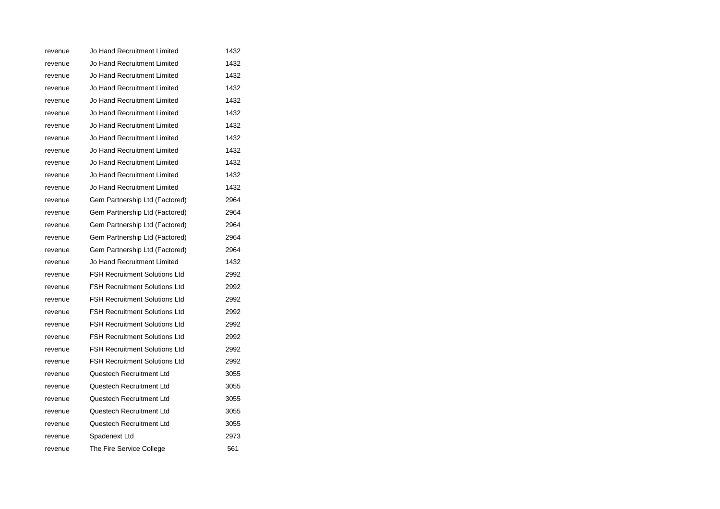| revenue | Jo Hand Recruitment Limited          | 1432 |
|---------|--------------------------------------|------|
| revenue | Jo Hand Recruitment Limited          | 1432 |
| revenue | Jo Hand Recruitment Limited          | 1432 |
| revenue | Jo Hand Recruitment Limited          | 1432 |
| revenue | Jo Hand Recruitment Limited          | 1432 |
| revenue | Jo Hand Recruitment Limited          | 1432 |
| revenue | Jo Hand Recruitment Limited          | 1432 |
| revenue | Jo Hand Recruitment Limited          | 1432 |
| revenue | Jo Hand Recruitment Limited          | 1432 |
| revenue | Jo Hand Recruitment Limited          | 1432 |
| revenue | Jo Hand Recruitment Limited          | 1432 |
| revenue | Jo Hand Recruitment Limited          | 1432 |
| revenue | Gem Partnership Ltd (Factored)       | 2964 |
| revenue | Gem Partnership Ltd (Factored)       | 2964 |
| revenue | Gem Partnership Ltd (Factored)       | 2964 |
| revenue | Gem Partnership Ltd (Factored)       | 2964 |
| revenue | Gem Partnership Ltd (Factored)       | 2964 |
| revenue | Jo Hand Recruitment Limited          | 1432 |
| revenue | <b>FSH Recruitment Solutions Ltd</b> | 2992 |
| revenue | <b>FSH Recruitment Solutions Ltd</b> | 2992 |
| revenue | <b>FSH Recruitment Solutions Ltd</b> | 2992 |
| revenue | <b>FSH Recruitment Solutions Ltd</b> | 2992 |
| revenue | <b>FSH Recruitment Solutions Ltd</b> | 2992 |
| revenue | <b>FSH Recruitment Solutions Ltd</b> | 2992 |
| revenue | <b>FSH Recruitment Solutions Ltd</b> | 2992 |
| revenue | <b>FSH Recruitment Solutions Ltd</b> | 2992 |
| revenue | Questech Recruitment Ltd             | 3055 |
| revenue | Questech Recruitment Ltd             | 3055 |
| revenue | Questech Recruitment Ltd             | 3055 |
| revenue | Questech Recruitment Ltd             | 3055 |
| revenue | Questech Recruitment Ltd             | 3055 |
| revenue | Spadenext Ltd                        | 2973 |
| revenue | The Fire Service College             | 561  |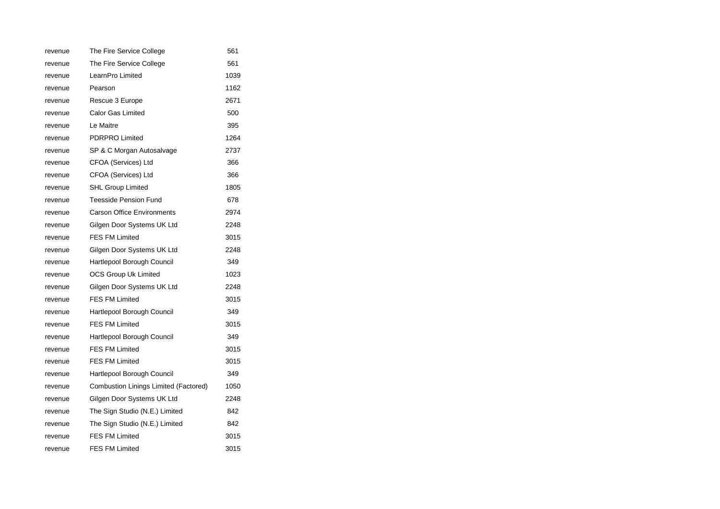| revenue | The Fire Service College              | 561  |
|---------|---------------------------------------|------|
| revenue | The Fire Service College              | 561  |
| revenue | LearnPro Limited                      | 1039 |
| revenue | Pearson                               | 1162 |
| revenue | Rescue 3 Europe                       | 2671 |
| revenue | <b>Calor Gas Limited</b>              | 500  |
| revenue | Le Maitre                             | 395  |
| revenue | <b>PDRPRO Limited</b>                 | 1264 |
| revenue | SP & C Morgan Autosalvage             | 2737 |
| revenue | CFOA (Services) Ltd                   | 366  |
| revenue | CFOA (Services) Ltd                   | 366  |
| revenue | <b>SHL Group Limited</b>              | 1805 |
| revenue | <b>Teesside Pension Fund</b>          | 678  |
| revenue | <b>Carson Office Environments</b>     | 2974 |
| revenue | Gilgen Door Systems UK Ltd            | 2248 |
| revenue | <b>FES FM Limited</b>                 | 3015 |
| revenue | Gilgen Door Systems UK Ltd            | 2248 |
| revenue | Hartlepool Borough Council            | 349  |
| revenue | OCS Group Uk Limited                  | 1023 |
| revenue | Gilgen Door Systems UK Ltd            | 2248 |
| revenue | <b>FES FM Limited</b>                 | 3015 |
| revenue | Hartlepool Borough Council            | 349  |
| revenue | <b>FES FM Limited</b>                 | 3015 |
| revenue | Hartlepool Borough Council            | 349  |
| revenue | <b>FES FM Limited</b>                 | 3015 |
| revenue | <b>FES FM Limited</b>                 | 3015 |
| revenue | Hartlepool Borough Council            | 349  |
| revenue | Combustion Linings Limited (Factored) | 1050 |
| revenue | Gilgen Door Systems UK Ltd            | 2248 |
| revenue | The Sign Studio (N.E.) Limited        | 842  |
| revenue | The Sign Studio (N.E.) Limited        | 842  |
| revenue | <b>FES FM Limited</b>                 | 3015 |
| revenue | <b>FES FM Limited</b>                 | 3015 |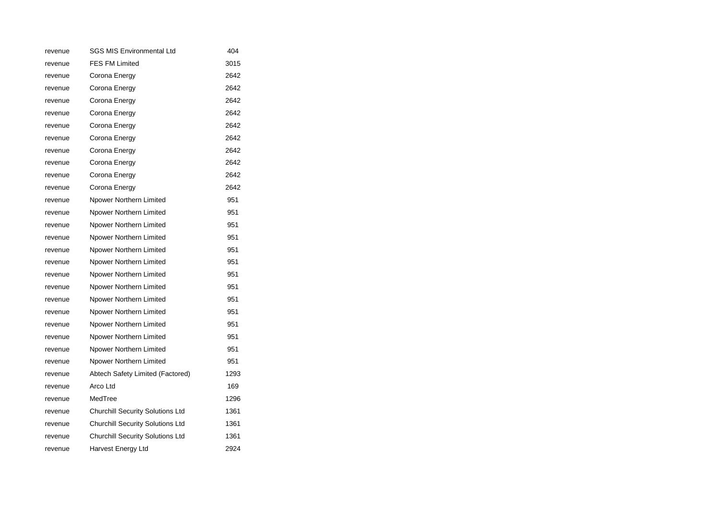| revenue | <b>SGS MIS Environmental Ltd</b>        | 404  |
|---------|-----------------------------------------|------|
| revenue | <b>FES FM Limited</b>                   | 3015 |
| revenue | Corona Energy                           | 2642 |
| revenue | Corona Energy                           | 2642 |
| revenue | Corona Energy                           | 2642 |
| revenue | Corona Energy                           | 2642 |
| revenue | Corona Energy                           | 2642 |
| revenue | Corona Energy                           | 2642 |
| revenue | Corona Energy                           | 2642 |
| revenue | Corona Energy                           | 2642 |
| revenue | Corona Energy                           | 2642 |
| revenue | Corona Energy                           | 2642 |
| revenue | Npower Northern Limited                 | 951  |
| revenue | Npower Northern Limited                 | 951  |
| revenue | Npower Northern Limited                 | 951  |
| revenue | Npower Northern Limited                 | 951  |
| revenue | Npower Northern Limited                 | 951  |
| revenue | Npower Northern Limited                 | 951  |
| revenue | Npower Northern Limited                 | 951  |
| revenue | Npower Northern Limited                 | 951  |
| revenue | Npower Northern Limited                 | 951  |
| revenue | Npower Northern Limited                 | 951  |
| revenue | Npower Northern Limited                 | 951  |
| revenue | Npower Northern Limited                 | 951  |
| revenue | Npower Northern Limited                 | 951  |
| revenue | Npower Northern Limited                 | 951  |
| revenue | Abtech Safety Limited (Factored)        | 1293 |
| revenue | Arco Ltd                                | 169  |
| revenue | MedTree                                 | 1296 |
| revenue | <b>Churchill Security Solutions Ltd</b> | 1361 |
| revenue | <b>Churchill Security Solutions Ltd</b> | 1361 |
| revenue | <b>Churchill Security Solutions Ltd</b> | 1361 |
| revenue | Harvest Energy Ltd                      | 2924 |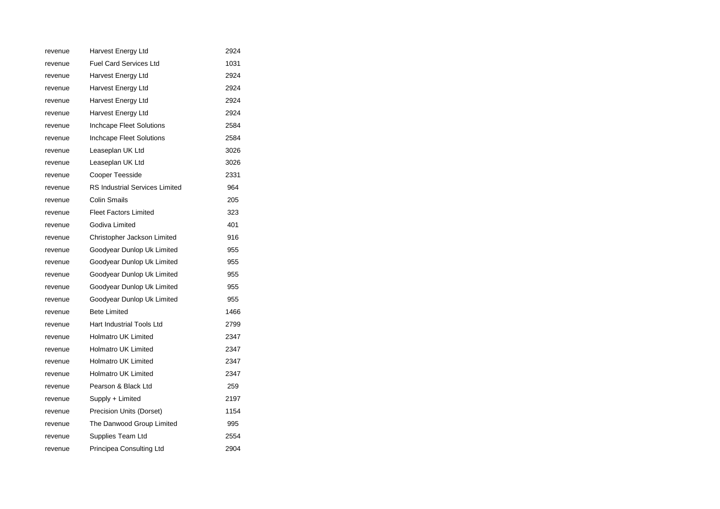| revenue | Harvest Energy Ltd                    | 2924 |
|---------|---------------------------------------|------|
| revenue | <b>Fuel Card Services Ltd</b>         | 1031 |
| revenue | Harvest Energy Ltd                    | 2924 |
| revenue | Harvest Energy Ltd                    | 2924 |
| revenue | Harvest Energy Ltd                    | 2924 |
| revenue | Harvest Energy Ltd                    | 2924 |
| revenue | Inchcape Fleet Solutions              | 2584 |
| revenue | <b>Inchcape Fleet Solutions</b>       | 2584 |
| revenue | Leaseplan UK Ltd                      | 3026 |
| revenue | Leaseplan UK Ltd                      | 3026 |
| revenue | Cooper Teesside                       | 2331 |
| revenue | <b>RS Industrial Services Limited</b> | 964  |
| revenue | Colin Smails                          | 205  |
| revenue | <b>Fleet Factors Limited</b>          | 323  |
| revenue | Godiva Limited                        | 401  |
| revenue | Christopher Jackson Limited           | 916  |
| revenue | Goodyear Dunlop Uk Limited            | 955  |
| revenue | Goodyear Dunlop Uk Limited            | 955  |
| revenue | Goodyear Dunlop Uk Limited            | 955  |
| revenue | Goodyear Dunlop Uk Limited            | 955  |
| revenue | Goodyear Dunlop Uk Limited            | 955  |
| revenue | <b>Bete Limited</b>                   | 1466 |
| revenue | Hart Industrial Tools Ltd             | 2799 |
| revenue | Holmatro UK Limited                   | 2347 |
| revenue | <b>Holmatro UK Limited</b>            | 2347 |
| revenue | <b>Holmatro UK Limited</b>            | 2347 |
| revenue | <b>Holmatro UK Limited</b>            | 2347 |
| revenue | Pearson & Black Ltd                   | 259  |
| revenue | Supply + Limited                      | 2197 |
| revenue | Precision Units (Dorset)              | 1154 |
| revenue | The Danwood Group Limited             | 995  |
| revenue | Supplies Team Ltd                     | 2554 |
| revenue | Principea Consulting Ltd              | 2904 |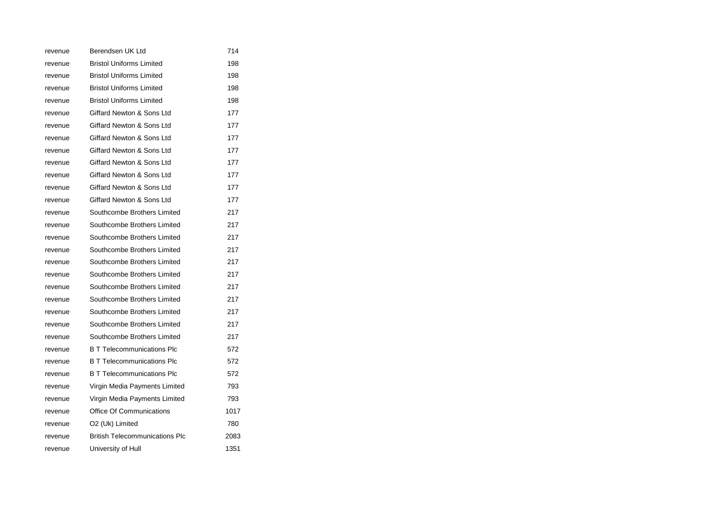| revenue | Berendsen UK Ltd                      | 714  |
|---------|---------------------------------------|------|
| revenue | <b>Bristol Uniforms Limited</b>       | 198  |
| revenue | <b>Bristol Uniforms Limited</b>       | 198  |
| revenue | <b>Bristol Uniforms Limited</b>       | 198  |
| revenue | <b>Bristol Uniforms Limited</b>       | 198  |
| revenue | Giffard Newton & Sons Ltd             | 177  |
| revenue | Giffard Newton & Sons Ltd             | 177  |
| revenue | Giffard Newton & Sons Ltd             | 177  |
| revenue | Giffard Newton & Sons Ltd             | 177  |
| revenue | Giffard Newton & Sons Ltd             | 177  |
| revenue | Giffard Newton & Sons Ltd             | 177  |
| revenue | Giffard Newton & Sons Ltd             | 177  |
| revenue | Giffard Newton & Sons Ltd             | 177  |
| revenue | Southcombe Brothers Limited           | 217  |
| revenue | Southcombe Brothers Limited           | 217  |
| revenue | Southcombe Brothers Limited           | 217  |
| revenue | Southcombe Brothers Limited           | 217  |
| revenue | Southcombe Brothers Limited           | 217  |
| revenue | Southcombe Brothers Limited           | 217  |
| revenue | Southcombe Brothers Limited           | 217  |
| revenue | Southcombe Brothers Limited           | 217  |
| revenue | Southcombe Brothers Limited           | 217  |
| revenue | Southcombe Brothers Limited           | 217  |
| revenue | Southcombe Brothers Limited           | 217  |
| revenue | <b>B T Telecommunications Plc</b>     | 572  |
| revenue | <b>B T Telecommunications Plc</b>     | 572  |
| revenue | <b>B T Telecommunications Plc</b>     | 572  |
| revenue | Virgin Media Payments Limited         | 793  |
| revenue | Virgin Media Payments Limited         | 793  |
| revenue | Office Of Communications              | 1017 |
| revenue | O2 (Uk) Limited                       | 780  |
| revenue | <b>British Telecommunications Plc</b> | 2083 |
| revenue | University of Hull                    | 1351 |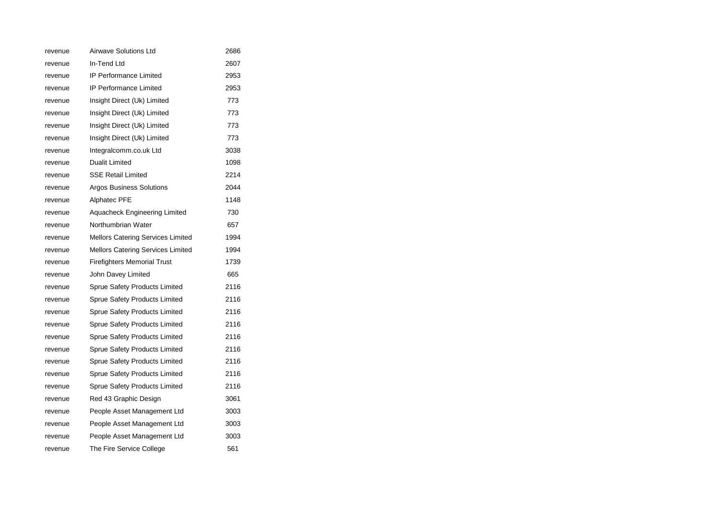| revenue | <b>Airwave Solutions Ltd</b>             | 2686 |
|---------|------------------------------------------|------|
| revenue | In-Tend Ltd                              | 2607 |
| revenue | <b>IP Performance Limited</b>            | 2953 |
| revenue | <b>IP Performance Limited</b>            | 2953 |
| revenue | Insight Direct (Uk) Limited              | 773  |
| revenue | Insight Direct (Uk) Limited              | 773  |
| revenue | Insight Direct (Uk) Limited              | 773  |
| revenue | Insight Direct (Uk) Limited              | 773  |
| revenue | Integralcomm.co.uk Ltd                   | 3038 |
| revenue | <b>Dualit Limited</b>                    | 1098 |
| revenue | <b>SSE Retail Limited</b>                | 2214 |
| revenue | <b>Argos Business Solutions</b>          | 2044 |
| revenue | <b>Alphatec PFE</b>                      | 1148 |
| revenue | Aquacheck Engineering Limited            | 730  |
| revenue | Northumbrian Water                       | 657  |
| revenue | <b>Mellors Catering Services Limited</b> | 1994 |
| revenue | Mellors Catering Services Limited        | 1994 |
| revenue | <b>Firefighters Memorial Trust</b>       | 1739 |
| revenue | John Davey Limited                       | 665  |
| revenue | Sprue Safety Products Limited            | 2116 |
| revenue | Sprue Safety Products Limited            | 2116 |
| revenue | Sprue Safety Products Limited            | 2116 |
| revenue | Sprue Safety Products Limited            | 2116 |
| revenue | Sprue Safety Products Limited            | 2116 |
| revenue | Sprue Safety Products Limited            | 2116 |
| revenue | Sprue Safety Products Limited            | 2116 |
| revenue | <b>Sprue Safety Products Limited</b>     | 2116 |
| revenue | Sprue Safety Products Limited            | 2116 |
| revenue | Red 43 Graphic Design                    | 3061 |
| revenue | People Asset Management Ltd              | 3003 |
| revenue | People Asset Management Ltd              | 3003 |
| revenue | People Asset Management Ltd              | 3003 |
| revenue | The Fire Service College                 | 561  |